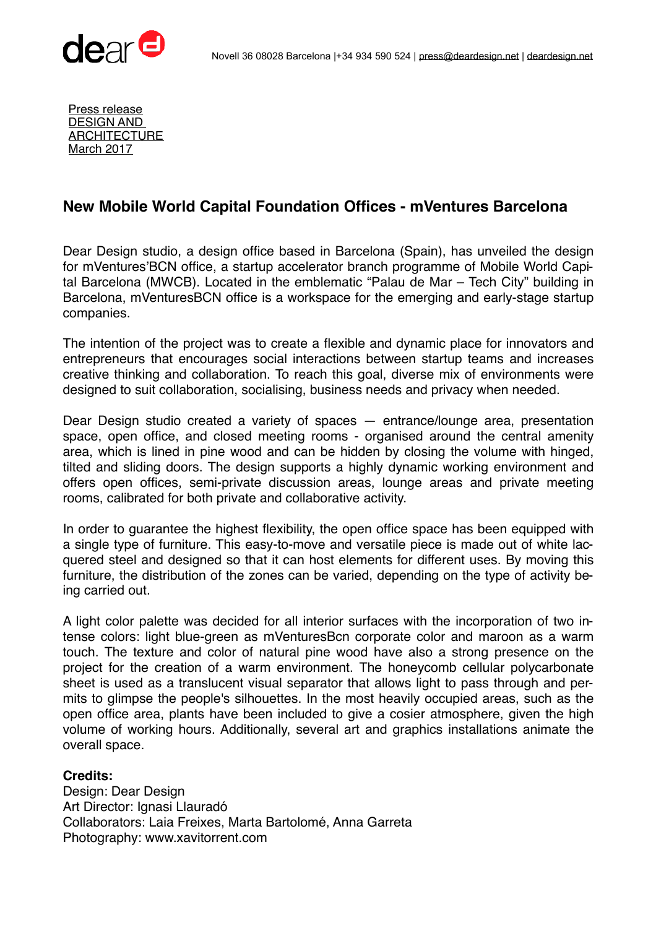



Press release DESIGN AND **ARCHITECTURE** March 2017

## **New Mobile World Capital Foundation Offices - mVentures Barcelona**

Dear Design studio, a design office based in Barcelona (Spain), has unveiled the design for mVentures'BCN office, a startup accelerator branch programme of Mobile World Capital Barcelona (MWCB). Located in the emblematic "Palau de Mar – Tech City" building in Barcelona, mVenturesBCN office is a workspace for the emerging and early-stage startup companies.

The intention of the project was to create a flexible and dynamic place for innovators and entrepreneurs that encourages social interactions between startup teams and increases creative thinking and collaboration. To reach this goal, diverse mix of environments were designed to suit collaboration, socialising, business needs and privacy when needed.

Dear Design studio created a variety of spaces — entrance/lounge area, presentation space, open office, and closed meeting rooms - organised around the central amenity area, which is lined in pine wood and can be hidden by closing the volume with hinged, tilted and sliding doors. The design supports a highly dynamic working environment and offers open offices, semi-private discussion areas, lounge areas and private meeting rooms, calibrated for both private and collaborative activity.

In order to guarantee the highest flexibility, the open office space has been equipped with a single type of furniture. This easy-to-move and versatile piece is made out of white lacquered steel and designed so that it can host elements for different uses. By moving this furniture, the distribution of the zones can be varied, depending on the type of activity being carried out.

A light color palette was decided for all interior surfaces with the incorporation of two intense colors: light blue-green as mVenturesBcn corporate color and maroon as a warm touch. The texture and color of natural pine wood have also a strong presence on the project for the creation of a warm environment. The honeycomb cellular polycarbonate sheet is used as a translucent visual separator that allows light to pass through and permits to glimpse the people's silhouettes. In the most heavily occupied areas, such as the open office area, plants have been included to give a cosier atmosphere, given the high volume of working hours. Additionally, several art and graphics installations animate the overall space.

## **Credits:**

Design: Dear Design Art Director: Ignasi Llauradó Collaborators: Laia Freixes, Marta Bartolomé, Anna Garreta Photography: www.xavitorrent.com